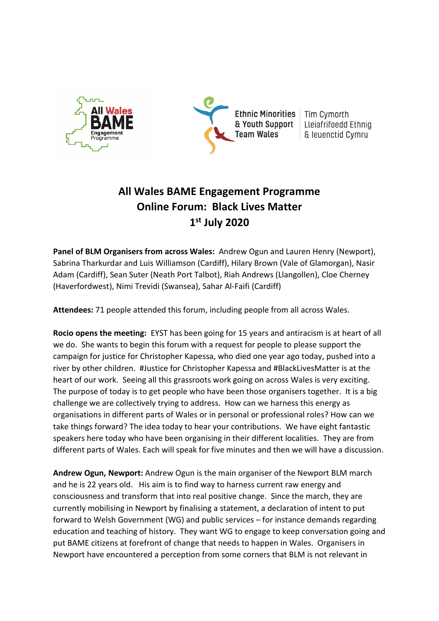



Tîm Cymorth Lleiafrifoedd Ethnig & leuenctid Cymru

# **All Wales BAME Engagement Programme Online Forum: Black Lives Matter 1 st July 2020**

**Panel of BLM Organisers from across Wales:** Andrew Ogun and Lauren Henry (Newport), Sabrina Tharkurdar and Luis Williamson (Cardiff), Hilary Brown (Vale of Glamorgan), Nasir Adam (Cardiff), Sean Suter (Neath Port Talbot), Riah Andrews (Llangollen), Cloe Cherney (Haverfordwest), Nimi Trevidi (Swansea), Sahar Al-Faifi (Cardiff)

**Attendees:** 71 people attended this forum, including people from all across Wales.

**Rocio opens the meeting:** EYST has been going for 15 years and antiracism is at heart of all we do. She wants to begin this forum with a request for people to please support the campaign for justice for Christopher Kapessa, who died one year ago today, pushed into a river by other children. #Justice for Christopher Kapessa and #BlackLivesMatter is at the heart of our work. Seeing all this grassroots work going on across Wales is very exciting. The purpose of today is to get people who have been those organisers together. It is a big challenge we are collectively trying to address. How can we harness this energy as organisations in different parts of Wales or in personal or professional roles? How can we take things forward? The idea today to hear your contributions. We have eight fantastic speakers here today who have been organising in their different localities. They are from different parts of Wales. Each will speak for five minutes and then we will have a discussion.

**Andrew Ogun, Newport:** Andrew Ogun is the main organiser of the Newport BLM march and he is 22 years old. His aim is to find way to harness current raw energy and consciousness and transform that into real positive change. Since the march, they are currently mobilising in Newport by finalising a statement, a declaration of intent to put forward to Welsh Government (WG) and public services – for instance demands regarding education and teaching of history. They want WG to engage to keep conversation going and put BAME citizens at forefront of change that needs to happen in Wales. Organisers in Newport have encountered a perception from some corners that BLM is not relevant in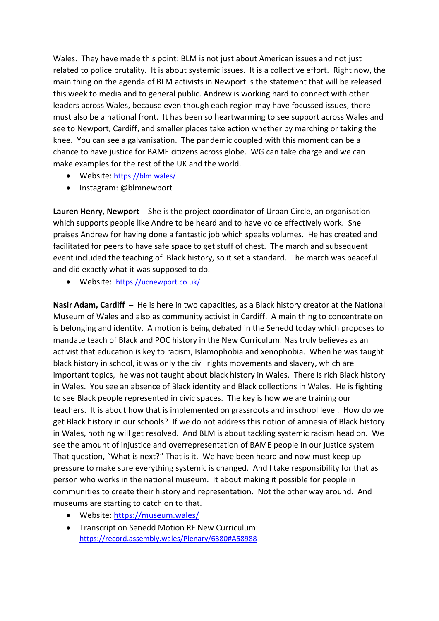Wales. They have made this point: BLM is not just about American issues and not just related to police brutality. It is about systemic issues. It is a collective effort. Right now, the main thing on the agenda of BLM activists in Newport is the statement that will be released this week to media and to general public. Andrew is working hard to connect with other leaders across Wales, because even though each region may have focussed issues, there must also be a national front. It has been so heartwarming to see support across Wales and see to Newport, Cardiff, and smaller places take action whether by marching or taking the knee. You can see a galvanisation. The pandemic coupled with this moment can be a chance to have justice for BAME citizens across globe. WG can take charge and we can make examples for the rest of the UK and the world.

- Website: <https://blm.wales/>
- Instagram: @blmnewport

**Lauren Henry, Newport** - She is the project coordinator of Urban Circle, an organisation which supports people like Andre to be heard and to have voice effectively work. She praises Andrew for having done a fantastic job which speaks volumes. He has created and facilitated for peers to have safe space to get stuff of chest. The march and subsequent event included the teaching of Black history, so it set a standard. The march was peaceful and did exactly what it was supposed to do.

• Website: <https://ucnewport.co.uk/>

**Nasir Adam, Cardiff –** He is here in two capacities, as a Black history creator at the National Museum of Wales and also as community activist in Cardiff. A main thing to concentrate on is belonging and identity. A motion is being debated in the Senedd today which proposes to mandate teach of Black and POC history in the New Curriculum. Nas truly believes as an activist that education is key to racism, Islamophobia and xenophobia. When he was taught black history in school, it was only the civil rights movements and slavery, which are important topics, he was not taught about black history in Wales. There is rich Black history in Wales. You see an absence of Black identity and Black collections in Wales. He is fighting to see Black people represented in civic spaces. The key is how we are training our teachers. It is about how that is implemented on grassroots and in school level. How do we get Black history in our schools? If we do not address this notion of amnesia of Black history in Wales, nothing will get resolved. And BLM is about tackling systemic racism head on. We see the amount of injustice and overrepresentation of BAME people in our justice system That question, "What is next?" That is it. We have been heard and now must keep up pressure to make sure everything systemic is changed. And I take responsibility for that as person who works in the national museum. It about making it possible for people in communities to create their history and representation. Not the other way around. And museums are starting to catch on to that.

- Website:<https://museum.wales/>
- Transcript on Senedd Motion RE New Curriculum: <https://record.assembly.wales/Plenary/6380#A58988>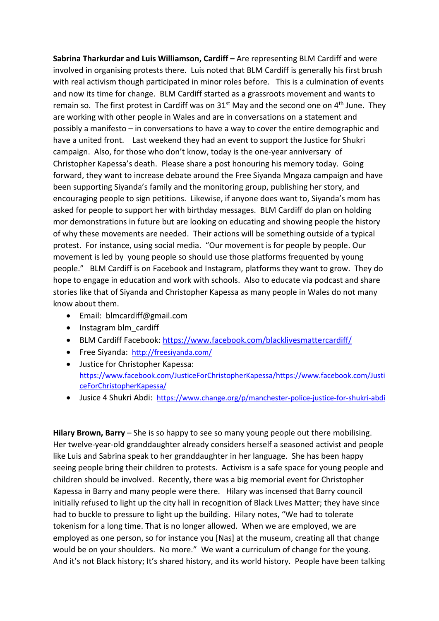**Sabrina Tharkurdar and Luis Williamson, Cardiff –** Are representing BLM Cardiff and were involved in organising protests there. Luis noted that BLM Cardiff is generally his first brush with real activism though participated in minor roles before. This is a culmination of events and now its time for change. BLM Cardiff started as a grassroots movement and wants to remain so. The first protest in Cardiff was on  $31<sup>st</sup>$  May and the second one on  $4<sup>th</sup>$  June. They are working with other people in Wales and are in conversations on a statement and possibly a manifesto – in conversations to have a way to cover the entire demographic and have a united front. Last weekend they had an event to support the Justice for Shukri campaign. Also, for those who don't know, today is the one-year anniversary of Christopher Kapessa's death. Please share a post honouring his memory today. Going forward, they want to increase debate around the Free Siyanda Mngaza campaign and have been supporting Siyanda's family and the monitoring group, publishing her story, and encouraging people to sign petitions. Likewise, if anyone does want to, Siyanda's mom has asked for people to support her with birthday messages. BLM Cardiff do plan on holding mor demonstrations in future but are looking on educating and showing people the history of why these movements are needed. Their actions will be something outside of a typical protest. For instance, using social media. "Our movement is for people by people. Our movement is led by young people so should use those platforms frequented by young people." BLM Cardiff is on Facebook and Instagram, platforms they want to grow. They do hope to engage in education and work with schools. Also to educate via podcast and share stories like that of Siyanda and Christopher Kapessa as many people in Wales do not many know about them.

- Email: blmcardiff@gmail.com
- Instagram blm\_cardiff
- BLM Cardiff Facebook[: https://www.facebook.com/blacklivesmattercardiff/](https://www.facebook.com/blacklivesmattercardiff/)
- Free Siyanda: <http://freesiyanda.com/>
- Justice for Christopher Kapessa: [https://www.facebook.com/JusticeForChristopherKapessa/https://www.facebook.com/Justi](https://www.facebook.com/JusticeForChristopherKapessa/) [ceForChristopherKapessa/](https://www.facebook.com/JusticeForChristopherKapessa/)
- Jusice 4 Shukri Abdi: <https://www.change.org/p/manchester-police-justice-for-shukri-abdi>

**Hilary Brown, Barry** – She is so happy to see so many young people out there mobilising. Her twelve-year-old granddaughter already considers herself a seasoned activist and people like Luis and Sabrina speak to her granddaughter in her language. She has been happy seeing people bring their children to protests. Activism is a safe space for young people and children should be involved. Recently, there was a big memorial event for Christopher Kapessa in Barry and many people were there. Hilary was incensed that Barry council initially refused to light up the city hall in recognition of Black Lives Matter; they have since had to buckle to pressure to light up the building. Hilary notes, "We had to tolerate tokenism for a long time. That is no longer allowed. When we are employed, we are employed as one person, so for instance you [Nas] at the museum, creating all that change would be on your shoulders. No more." We want a curriculum of change for the young. And it's not Black history; It's shared history, and its world history. People have been talking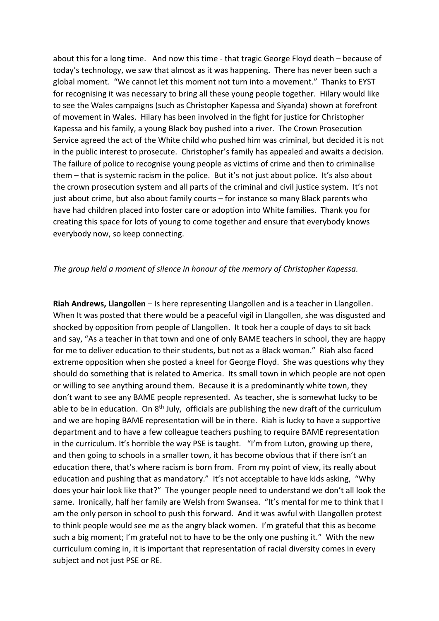about this for a long time. And now this time - that tragic George Floyd death – because of today's technology, we saw that almost as it was happening. There has never been such a global moment. "We cannot let this moment not turn into a movement." Thanks to EYST for recognising it was necessary to bring all these young people together. Hilary would like to see the Wales campaigns (such as Christopher Kapessa and Siyanda) shown at forefront of movement in Wales. Hilary has been involved in the fight for justice for Christopher Kapessa and his family, a young Black boy pushed into a river. The Crown Prosecution Service agreed the act of the White child who pushed him was criminal, but decided it is not in the public interest to prosecute. Christopher's family has appealed and awaits a decision. The failure of police to recognise young people as victims of crime and then to criminalise them – that is systemic racism in the police. But it's not just about police. It's also about the crown prosecution system and all parts of the criminal and civil justice system. It's not just about crime, but also about family courts – for instance so many Black parents who have had children placed into foster care or adoption into White families. Thank you for creating this space for lots of young to come together and ensure that everybody knows everybody now, so keep connecting.

#### *The group held a moment of silence in honour of the memory of Christopher Kapessa.*

**Riah Andrews, Llangollen** – Is here representing Llangollen and is a teacher in Llangollen. When It was posted that there would be a peaceful vigil in Llangollen, she was disgusted and shocked by opposition from people of Llangollen. It took her a couple of days to sit back and say, "As a teacher in that town and one of only BAME teachers in school, they are happy for me to deliver education to their students, but not as a Black woman." Riah also faced extreme opposition when she posted a kneel for George Floyd. She was questions why they should do something that is related to America. Its small town in which people are not open or willing to see anything around them. Because it is a predominantly white town, they don't want to see any BAME people represented. As teacher, she is somewhat lucky to be able to be in education. On 8<sup>th</sup> July, officials are publishing the new draft of the curriculum and we are hoping BAME representation will be in there. Riah is lucky to have a supportive department and to have a few colleague teachers pushing to require BAME representation in the curriculum. It's horrible the way PSE is taught. "I'm from Luton, growing up there, and then going to schools in a smaller town, it has become obvious that if there isn't an education there, that's where racism is born from. From my point of view, its really about education and pushing that as mandatory." It's not acceptable to have kids asking, "Why does your hair look like that?" The younger people need to understand we don't all look the same. Ironically, half her family are Welsh from Swansea. "It's mental for me to think that I am the only person in school to push this forward. And it was awful with Llangollen protest to think people would see me as the angry black women. I'm grateful that this as become such a big moment; I'm grateful not to have to be the only one pushing it." With the new curriculum coming in, it is important that representation of racial diversity comes in every subject and not just PSE or RE.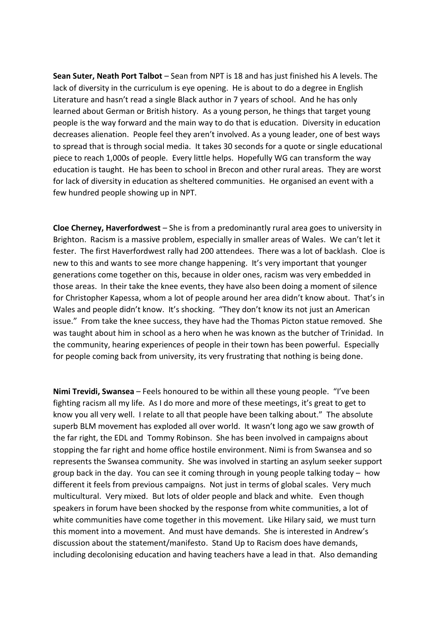**Sean Suter, Neath Port Talbot** – Sean from NPT is 18 and has just finished his A levels. The lack of diversity in the curriculum is eye opening. He is about to do a degree in English Literature and hasn't read a single Black author in 7 years of school. And he has only learned about German or British history. As a young person, he things that target young people is the way forward and the main way to do that is education. Diversity in education decreases alienation. People feel they aren't involved. As a young leader, one of best ways to spread that is through social media. It takes 30 seconds for a quote or single educational piece to reach 1,000s of people. Every little helps. Hopefully WG can transform the way education is taught. He has been to school in Brecon and other rural areas. They are worst for lack of diversity in education as sheltered communities. He organised an event with a few hundred people showing up in NPT.

**Cloe Cherney, Haverfordwest** – She is from a predominantly rural area goes to university in Brighton. Racism is a massive problem, especially in smaller areas of Wales. We can't let it fester. The first Haverfordwest rally had 200 attendees. There was a lot of backlash. Cloe is new to this and wants to see more change happening. It's very important that younger generations come together on this, because in older ones, racism was very embedded in those areas. In their take the knee events, they have also been doing a moment of silence for Christopher Kapessa, whom a lot of people around her area didn't know about. That's in Wales and people didn't know. It's shocking. "They don't know its not just an American issue." From take the knee success, they have had the Thomas Picton statue removed. She was taught about him in school as a hero when he was known as the butcher of Trinidad. In the community, hearing experiences of people in their town has been powerful. Especially for people coming back from university, its very frustrating that nothing is being done.

**Nimi Trevidi, Swansea** – Feels honoured to be within all these young people. "I've been fighting racism all my life. As I do more and more of these meetings, it's great to get to know you all very well. I relate to all that people have been talking about." The absolute superb BLM movement has exploded all over world. It wasn't long ago we saw growth of the far right, the EDL and Tommy Robinson. She has been involved in campaigns about stopping the far right and home office hostile environment. Nimi is from Swansea and so represents the Swansea community. She was involved in starting an asylum seeker support group back in the day. You can see it coming through in young people talking today – how different it feels from previous campaigns. Not just in terms of global scales. Very much multicultural. Very mixed. But lots of older people and black and white. Even though speakers in forum have been shocked by the response from white communities, a lot of white communities have come together in this movement. Like Hilary said, we must turn this moment into a movement. And must have demands. She is interested in Andrew's discussion about the statement/manifesto. Stand Up to Racism does have demands, including decolonising education and having teachers have a lead in that. Also demanding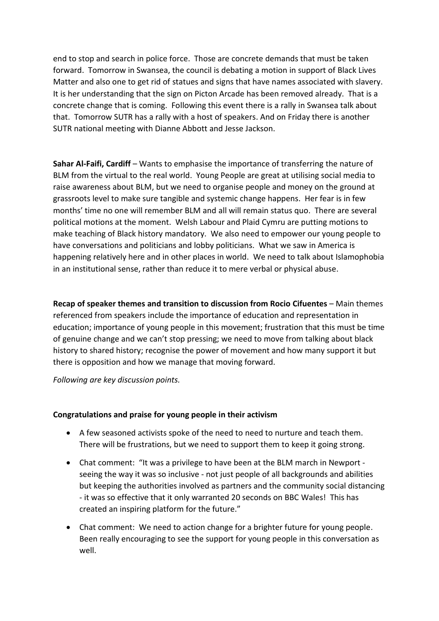end to stop and search in police force. Those are concrete demands that must be taken forward. Tomorrow in Swansea, the council is debating a motion in support of Black Lives Matter and also one to get rid of statues and signs that have names associated with slavery. It is her understanding that the sign on Picton Arcade has been removed already. That is a concrete change that is coming. Following this event there is a rally in Swansea talk about that. Tomorrow SUTR has a rally with a host of speakers. And on Friday there is another SUTR national meeting with Dianne Abbott and Jesse Jackson.

**Sahar Al-Faifi, Cardiff** – Wants to emphasise the importance of transferring the nature of BLM from the virtual to the real world. Young People are great at utilising social media to raise awareness about BLM, but we need to organise people and money on the ground at grassroots level to make sure tangible and systemic change happens. Her fear is in few months' time no one will remember BLM and all will remain status quo. There are several political motions at the moment. Welsh Labour and Plaid Cymru are putting motions to make teaching of Black history mandatory. We also need to empower our young people to have conversations and politicians and lobby politicians. What we saw in America is happening relatively here and in other places in world. We need to talk about Islamophobia in an institutional sense, rather than reduce it to mere verbal or physical abuse.

**Recap of speaker themes and transition to discussion from Rocio Cifuentes** – Main themes referenced from speakers include the importance of education and representation in education; importance of young people in this movement; frustration that this must be time of genuine change and we can't stop pressing; we need to move from talking about black history to shared history; recognise the power of movement and how many support it but there is opposition and how we manage that moving forward.

*Following are key discussion points.* 

### **Congratulations and praise for young people in their activism**

- A few seasoned activists spoke of the need to need to nurture and teach them. There will be frustrations, but we need to support them to keep it going strong.
- Chat comment: "It was a privilege to have been at the BLM march in Newport seeing the way it was so inclusive - not just people of all backgrounds and abilities but keeping the authorities involved as partners and the community social distancing - it was so effective that it only warranted 20 seconds on BBC Wales! This has created an inspiring platform for the future."
- Chat comment: We need to action change for a brighter future for young people. Been really encouraging to see the support for young people in this conversation as well.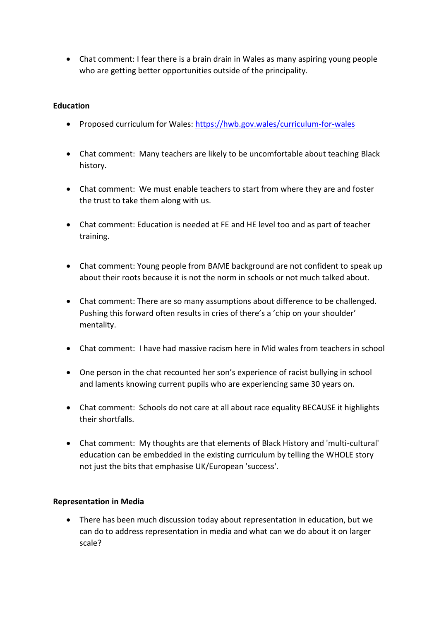• Chat comment: I fear there is a brain drain in Wales as many aspiring young people who are getting better opportunities outside of the principality.

## **Education**

- Proposed curriculum for Wales:<https://hwb.gov.wales/curriculum-for-wales>
- Chat comment: Many teachers are likely to be uncomfortable about teaching Black history.
- Chat comment: We must enable teachers to start from where they are and foster the trust to take them along with us.
- Chat comment: Education is needed at FE and HE level too and as part of teacher training.
- Chat comment: Young people from BAME background are not confident to speak up about their roots because it is not the norm in schools or not much talked about.
- Chat comment: There are so many assumptions about difference to be challenged. Pushing this forward often results in cries of there's a 'chip on your shoulder' mentality.
- Chat comment: I have had massive racism here in Mid wales from teachers in school
- One person in the chat recounted her son's experience of racist bullying in school and laments knowing current pupils who are experiencing same 30 years on.
- Chat comment: Schools do not care at all about race equality BECAUSE it highlights their shortfalls.
- Chat comment: My thoughts are that elements of Black History and 'multi-cultural' education can be embedded in the existing curriculum by telling the WHOLE story not just the bits that emphasise UK/European 'success'.

## **Representation in Media**

• There has been much discussion today about representation in education, but we can do to address representation in media and what can we do about it on larger scale?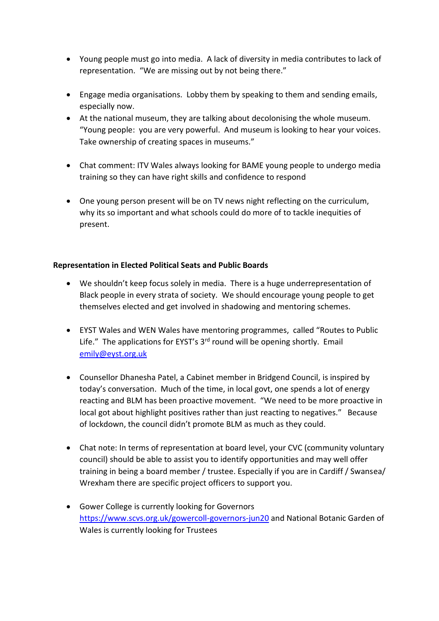- Young people must go into media. A lack of diversity in media contributes to lack of representation. "We are missing out by not being there."
- Engage media organisations. Lobby them by speaking to them and sending emails, especially now.
- At the national museum, they are talking about decolonising the whole museum. "Young people: you are very powerful. And museum is looking to hear your voices. Take ownership of creating spaces in museums."
- Chat comment: ITV Wales always looking for BAME young people to undergo media training so they can have right skills and confidence to respond
- One young person present will be on TV news night reflecting on the curriculum, why its so important and what schools could do more of to tackle inequities of present.

## **Representation in Elected Political Seats and Public Boards**

- We shouldn't keep focus solely in media. There is a huge underrepresentation of Black people in every strata of society. We should encourage young people to get themselves elected and get involved in shadowing and mentoring schemes.
- EYST Wales and WEN Wales have mentoring programmes, called "Routes to Public Life." The applications for EYST's  $3<sup>rd</sup>$  round will be opening shortly. Email [emily@eyst.org.uk](mailto:emily@eyst.org.uk)
- Counsellor Dhanesha Patel, a Cabinet member in Bridgend Council, is inspired by today's conversation. Much of the time, in local govt, one spends a lot of energy reacting and BLM has been proactive movement. "We need to be more proactive in local got about highlight positives rather than just reacting to negatives." Because of lockdown, the council didn't promote BLM as much as they could.
- Chat note: In terms of representation at board level, your CVC (community voluntary council) should be able to assist you to identify opportunities and may well offer training in being a board member / trustee. Especially if you are in Cardiff / Swansea/ Wrexham there are specific project officers to support you.
- Gower College is currently looking for Governors <https://www.scvs.org.uk/gowercoll-governors-jun20> and National Botanic Garden of Wales is currently looking for Trustees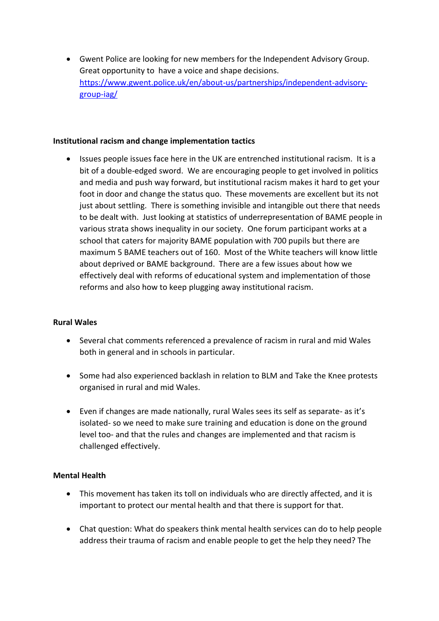• Gwent Police are looking for new members for the Independent Advisory Group. Great opportunity to have a voice and shape decisions. [https://www.gwent.police.uk/en/about-us/partnerships/independent-advisory](https://www.gwent.police.uk/en/about-us/partnerships/independent-advisory-group-iag/)[group-iag/](https://www.gwent.police.uk/en/about-us/partnerships/independent-advisory-group-iag/)

### **Institutional racism and change implementation tactics**

• Issues people issues face here in the UK are entrenched institutional racism. It is a bit of a double-edged sword. We are encouraging people to get involved in politics and media and push way forward, but institutional racism makes it hard to get your foot in door and change the status quo. These movements are excellent but its not just about settling. There is something invisible and intangible out there that needs to be dealt with. Just looking at statistics of underrepresentation of BAME people in various strata shows inequality in our society. One forum participant works at a school that caters for majority BAME population with 700 pupils but there are maximum 5 BAME teachers out of 160. Most of the White teachers will know little about deprived or BAME background. There are a few issues about how we effectively deal with reforms of educational system and implementation of those reforms and also how to keep plugging away institutional racism.

### **Rural Wales**

- Several chat comments referenced a prevalence of racism in rural and mid Wales both in general and in schools in particular.
- Some had also experienced backlash in relation to BLM and Take the Knee protests organised in rural and mid Wales.
- Even if changes are made nationally, rural Wales sees its self as separate- as it's isolated- so we need to make sure training and education is done on the ground level too- and that the rules and changes are implemented and that racism is challenged effectively.

### **Mental Health**

- This movement has taken its toll on individuals who are directly affected, and it is important to protect our mental health and that there is support for that.
- Chat question: What do speakers think mental health services can do to help people address their trauma of racism and enable people to get the help they need? The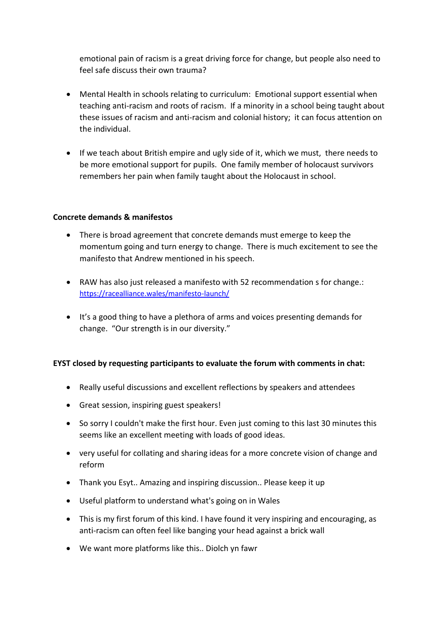emotional pain of racism is a great driving force for change, but people also need to feel safe discuss their own trauma?

- Mental Health in schools relating to curriculum: Emotional support essential when teaching anti-racism and roots of racism. If a minority in a school being taught about these issues of racism and anti-racism and colonial history; it can focus attention on the individual.
- If we teach about British empire and ugly side of it, which we must, there needs to be more emotional support for pupils. One family member of holocaust survivors remembers her pain when family taught about the Holocaust in school.

## **Concrete demands & manifestos**

- There is broad agreement that concrete demands must emerge to keep the momentum going and turn energy to change. There is much excitement to see the manifesto that Andrew mentioned in his speech.
- RAW has also just released a manifesto with 52 recommendation s for change.: <https://racealliance.wales/manifesto-launch/>
- It's a good thing to have a plethora of arms and voices presenting demands for change. "Our strength is in our diversity."

## **EYST closed by requesting participants to evaluate the forum with comments in chat:**

- Really useful discussions and excellent reflections by speakers and attendees
- Great session, inspiring guest speakers!
- So sorry I couldn't make the first hour. Even just coming to this last 30 minutes this seems like an excellent meeting with loads of good ideas.
- very useful for collating and sharing ideas for a more concrete vision of change and reform
- Thank you Esyt.. Amazing and inspiring discussion.. Please keep it up
- Useful platform to understand what's going on in Wales
- This is my first forum of this kind. I have found it very inspiring and encouraging, as anti-racism can often feel like banging your head against a brick wall
- We want more platforms like this.. Diolch yn fawr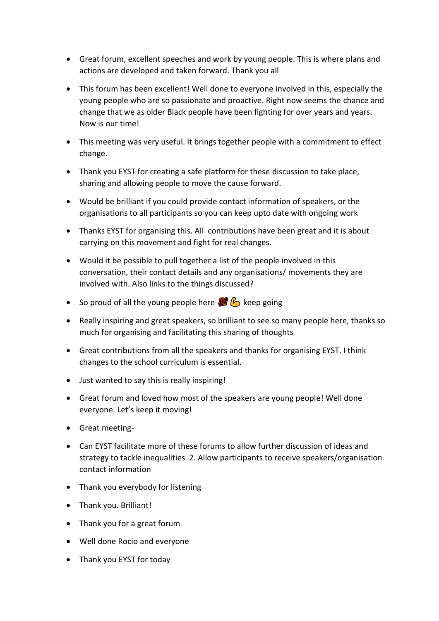- Great forum, excellent speeches and work by young people. This is where plans and actions are developed and taken forward. Thank you all
- This forum has been excellent! Well done to everyone involved in this, especially the young people who are so passionate and proactive. Right now seems the chance and change that we as older Black people have been fighting for over years and years. Now is our time!
- This meeting was very useful. It brings together people with a commitment to effect change.
- Thank you EYST for creating a safe platform for these discussion to take place, sharing and allowing people to move the cause forward.
- Would be brilliant if you could provide contact information of speakers, or the organisations to all participants so you can keep upto date with ongoing work
- Thanks EYST for organising this. All contributions have been great and it is about carrying on this movement and fight for real changes.
- Would it be possible to pull together a list of the people involved in this conversation, their contact details and any organisations/ movements they are involved with. Also links to the things discussed?
- So proud of all the young people here  $\mathbb{Z}$   $\mathbb{C}$  keep going
- Really inspiring and great speakers, so brilliant to see so many people here, thanks so much for organising and facilitating this sharing of thoughts
- Great contributions from all the speakers and thanks for organising EYST. I think changes to the school curriculum is essential.
- Just wanted to say this is really inspiring!
- Great forum and loved how most of the speakers are young people! Well done everyone. Let's keep it moving!
- Great meeting-
- Can EYST facilitate more of these forums to allow further discussion of ideas and strategy to tackle inequalities 2. Allow participants to receive speakers/organisation contact information
- Thank you everybody for listening
- Thank you. Brilliant!
- Thank you for a great forum
- Well done Rocio and everyone
- Thank you EYST for today